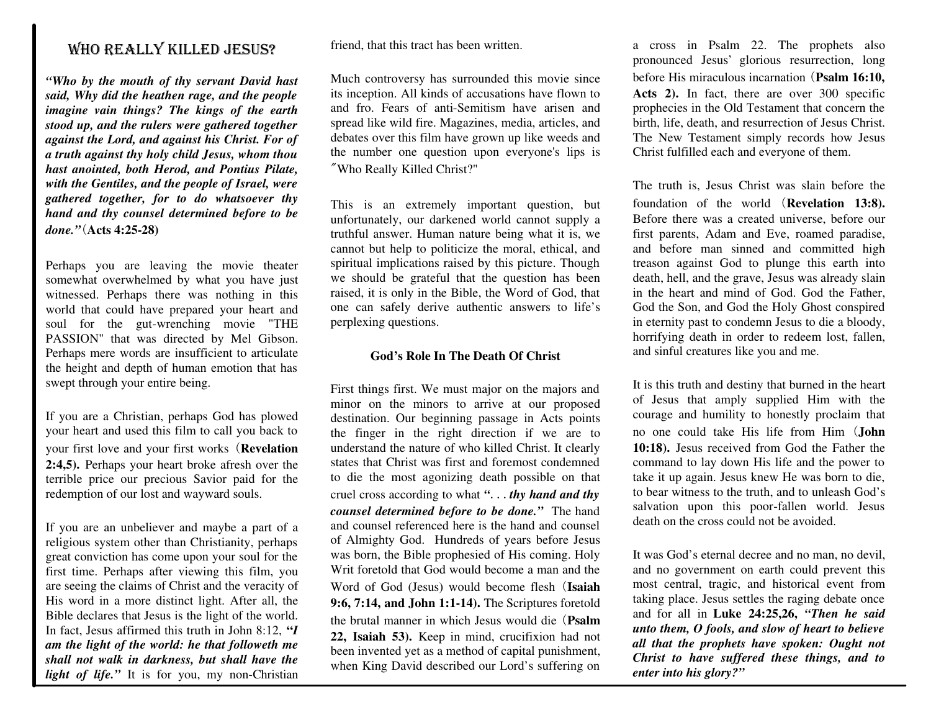### WHO REALLY KILLED JESUS?

*"Who by the mouth of thy servant David hast said, Why did the heathen rage, and the people imagine vain things? The kings of the earth stood up, and the rulers were gathered together against the Lord, and against his Christ. For of a truth against thy holy child Jesus, whom thou hast anointed, both Herod, and Pontius Pilate, with the Gentiles, and the people of Israel, were gathered together, for to do whatsoever thy hand and thy counsel determined before to be done."*(**Acts 4:25-28)**

Perhaps you are leaving the movie theater somewhat overwhelmed by what you have just witnessed. Perhaps there was nothing in this world that could have prepared your heart and soul for the gut-wrenching movie "THE PASSION" that was directed by Mel Gibson. Perhaps mere words are insufficient to articulate the height and depth of human emotion that has swept through your entire being.

If you are a Christian, perhaps God has plowed your heart and used this film to call you back to your first love and your first works (**Revelation 2:4,5).** Perhaps your heart broke afresh over the terrible price our precious Savior paid for the redemption of our lost and wayward souls.

If you are an unbeliever and maybe a part of a religious system other than Christianity, perhaps great conviction has come upon your soul for the first time. Perhaps after viewing this film, you are seeing the claims of Christ and the veracity of His word in a more distinct light. After all, the Bible declares that Jesus is the light of the world. In fact, Jesus affirmed this truth in John 8:12, **"***I am the light of the world: he that followeth me shall not walk in darkness, but shall have the* light of life." It is for you, my non-Christian friend, that this tract has been written.

Much controversy has surrounded this movie since its inception. All kinds of accusations have flown to and fro. Fears of anti-Semitism have arisen and spread like wild fire. Magazines, media, articles, and debates over this film have grown up like weeds and the number one question upon everyone's lips is "Who Really Killed Christ?"

This is an extremely important question, but unfortunately, our darkened world cannot supply a truthful answer. Human nature being what it is, we cannot but help to politicize the moral, ethical, and spiritual implications raised by this picture. Though we should be grateful that the question has been raised, it is only in the Bible, the Word of God, that one can safely derive authentic answers to life's perplexing questions.

### **God's Role In The Death Of Christ**

First things first. We must major on the majors and minor on the minors to arrive at our proposed destination. Our beginning passage in Acts points the finger in the right direction if we are to understand the nature of who killed Christ. It clearly states that Christ was first and foremost condemned to die the most agonizing death possible on that cruel cross according to what *"*...*thy hand and thy counsel determined before to be done."* The hand and counsel referenced here is the hand and counsel of Almighty God. Hundreds of years before Jesus was born, the Bible prophesied of His coming. Holy Writ foretold that God would become a man and the Word of God (Jesus) would become flesh (**Isaiah 9:6, 7:14, and John 1:1-14).** The Scriptures foretold the brutal manner in which Jesus would die (**Psalm 22, Isaiah 53).** Keep in mind, crucifixion had not been invented yet as a method of capital punishment, when King David described our Lord's suffering on

a cross in Psalm 22. The prophets also pronounced Jesus' glorious resurrection, long before His miraculous incarnation (**Psalm 16:10, Acts 2).** In fact, there are over 300 specific prophecies in the Old Testament that concern the birth, life, death, and resurrection of Jesus Christ. The New Testament simply records how Jesus Christ fulfilled each and everyone of them.

The truth is, Jesus Christ was slain before the foundation of the world (**Revelation 13:8).** Before there was a created universe, before our first parents, Adam and Eve, roamed paradise, and before man sinned and committed high treason against God to plunge this earth into death, hell, and the grave, Jesus was already slain in the heart and mind of God. God the Father, God the Son, and God the Holy Ghost conspired in eternity past to condemn Jesus to die a bloody, horrifying death in order to redeem lost, fallen, and sinful creatures like you and me.

It is this truth and destiny that burned in the heart of Jesus that amply supplied Him with the courage and humility to honestly proclaim that no one could take His life from Him (**John 10:18).** Jesus received from God the Father the command to lay down His life and the power to take it up again. Jesus knew He was born to die, to bear witness to the truth, and to unleash God's salvation upon this poor-fallen world. Jesus death on the cross could not be avoided.

It was God's eternal decree and no man, no devil, and no government on earth could prevent this most central, tragic, and historical event from taking place. Jesus settles the raging debate once and for all in **Luke 24:25,26,** *"Then he said unto them, O fools, and slow of heart to believe all that the prophets have spoken: Ought not Christ to have suffered these things, and to enter into his glory?"*